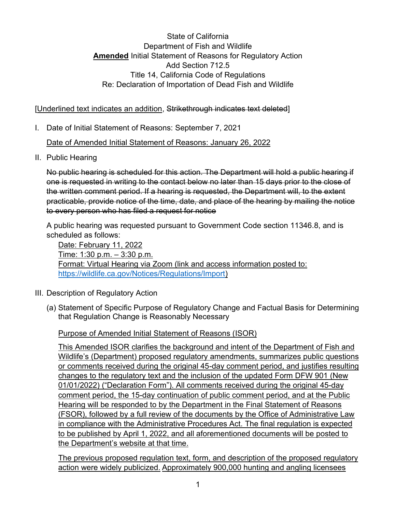State of California Department of Fish and Wildlife **Amended** Initial Statement of Reasons for Regulatory Action Add Section 712.5 Title 14, California Code of Regulations Re: Declaration of Importation of Dead Fish and Wildlife

[Underlined text indicates an addition, Strikethrough indicates text deleted]

I. Date of Initial Statement of Reasons: September 7, 2021

Date of Amended Initial Statement of Reasons: January 26, 2022

II. Public Hearing

No public hearing is scheduled for this action. The Department will hold a public hearing if one is requested in writing to the contact below no later than 15 days prior to the close of the written comment period. If a hearing is requested, the Department will, to the extent practicable, provide notice of the time, date, and place of the hearing by mailing the notice to every person who has filed a request for notice

A public hearing was requested pursuant to Government Code section 11346.8, and is scheduled as follows:

Date: February 11, 2022 Time: 1:30 p.m. - 3:30 p.m. Format: Virtual Hearing via Zoom (link and access information posted to: [https://wildlife.ca.gov/Notices/Regulations/Import\)](https://wildlife.ca.gov/Notices/Regulations/Import)

- III. Description of Regulatory Action
	- (a) Statement of Specific Purpose of Regulatory Change and Factual Basis for Determining that Regulation Change is Reasonably Necessary

Purpose of Amended Initial Statement of Reasons (ISOR)

This Amended ISOR clarifies the background and intent of the Department of Fish and Wildlife's (Department) proposed regulatory amendments, summarizes public questions or comments received during the original 45-day comment period, and justifies resulting changes to the regulatory text and the inclusion of the updated Form DFW 901 (New 01/01/2022) ("Declaration Form"). All comments received during the original 45-day comment period, the 15-day continuation of public comment period, and at the Public Hearing will be responded to by the Department in the Final Statement of Reasons (FSOR), followed by a full review of the documents by the Office of Administrative Law in compliance with the Administrative Procedures Act. The final regulation is expected to be published by April 1, 2022, and all aforementioned documents will be posted to the Department's website at that time.

The previous proposed regulation text, form, and description of the proposed regulatory action were widely publicized. Approximately 900,000 hunting and angling licensees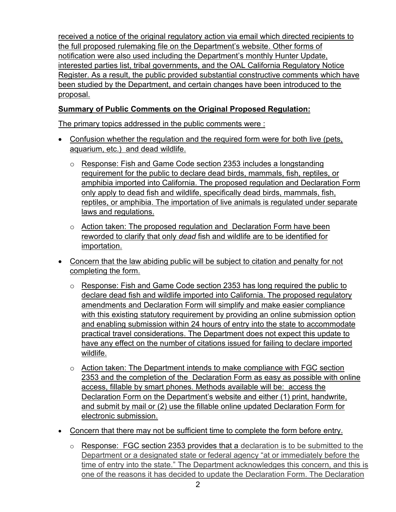received a notice of the original regulatory action via email which directed recipients to the full proposed rulemaking file on the Department's website. Other forms of notification were also used including the Department's monthly Hunter Update, interested parties list, tribal governments, and the OAL California Regulatory Notice Register. As a result, the public provided substantial constructive comments which have been studied by the Department, and certain changes have been introduced to the proposal.

# **Summary of Public Comments on the Original Proposed Regulation:**

The primary topics addressed in the public comments were :

- Confusion whether the regulation and the required form were for both live (pets, aquarium, etc.) and dead wildlife.
	- $\circ$  Response: Fish and Game Code section 2353 includes a longstanding requirement for the public to declare dead birds, mammals, fish, reptiles, or amphibia imported into California. The proposed regulation and Declaration Form only apply to dead fish and wildlife, specifically dead birds, mammals, fish, reptiles, or amphibia. The importation of live animals is regulated under separate laws and regulations.
	- $\circ$  Action taken: The proposed regulation and Declaration Form have been reworded to clarify that only *dead* fish and wildlife are to be identified for importation.
- Concern that the law abiding public will be subject to citation and penalty for not completing the form.
	- o Response: Fish and Game Code section 2353 has long required the public to declare dead fish and wildlife imported into California. The proposed regulatory amendments and Declaration Form will simplify and make easier compliance with this existing statutory requirement by providing an online submission option and enabling submission within 24 hours of entry into the state to accommodate practical travel considerations. The Department does not expect this update to have any effect on the number of citations issued for failing to declare imported wildlife.
	- $\circ$  Action taken: The Department intends to make compliance with FGC section 2353 and the completion of the Declaration Form as easy as possible with online access, fillable by smart phones. Methods available will be: access the Declaration Form on the Department's website and either (1) print, handwrite, and submit by mail or (2) use the fillable online updated Declaration Form for electronic submission.
- Concern that there may not be sufficient time to complete the form before entry.
	- $\circ$  Response: FGC section 2353 provides that a declaration is to be submitted to the Department or a designated state or federal agency "at or immediately before the time of entry into the state." The Department acknowledges this concern, and this is one of the reasons it has decided to update the Declaration Form. The Declaration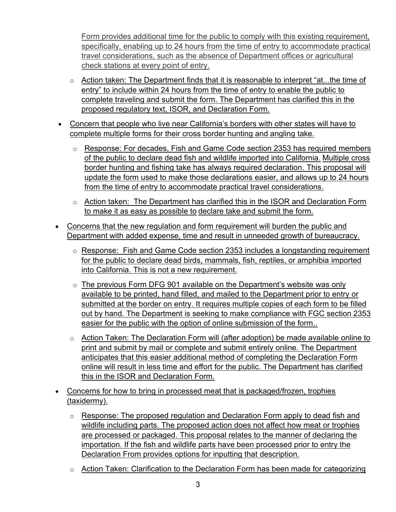Form provides additional time for the public to comply with this existing requirement, specifically, enabling up to 24 hours from the time of entry to accommodate practical travel considerations, such as the absence of Department offices or agricultural check stations at every point of entry.

- $\circ$  Action taken: The Department finds that it is reasonable to interpret "at...the time of entry" to include within 24 hours from the time of entry to enable the public to complete traveling and submit the form. The Department has clarified this in the proposed regulatory text, ISOR, and Declaration Form.
- Concern that people who live near California's borders with other states will have to complete multiple forms for their cross border hunting and angling take.
	- $\circ$  Response: For decades, Fish and Game Code section 2353 has required members of the public to declare dead fish and wildlife imported into California. Multiple cross border hunting and fishing take has always required declaration. This proposal will update the form used to make those declarations easier, and allows up to 24 hours from the time of entry to accommodate practical travel considerations.
	- $\circ$  Action taken: The Department has clarified this in the ISOR and Declaration Form to make it as easy as possible to declare take and submit the form.
- Concerns that the new regulation and form requirement will burden the public and Department with added expense, time and result in unneeded growth of bureaucracy.
	- o Response: Fish and Game Code section 2353 includes a longstanding requirement for the public to declare dead birds, mammals, fish, reptiles, or amphibia imported into California. This is not a new requirement.
	- $\circ$  The previous Form DFG 901 available on the Department's website was only available to be printed, hand filled, and mailed to the Department prior to entry or submitted at the border on entry. It requires multiple copies of each form to be filled out by hand. The Department is seeking to make compliance with FGC section 2353 easier for the public with the option of online submission of the form..
	- o Action Taken: The Declaration Form will (after adoption) be made available online to print and submit by mail or complete and submit entirely online. The Department anticipates that this easier additional method of completing the Declaration Form online will result in less time and effort for the public. The Department has clarified this in the ISOR and Declaration Form.
- Concerns for how to bring in processed meat that is packaged/frozen, trophies (taxidermy).
	- o Response: The proposed regulation and Declaration Form apply to dead fish and wildlife including parts. The proposed action does not affect how meat or trophies are processed or packaged. This proposal relates to the manner of declaring the importation. If the fish and wildlife parts have been processed prior to entry the Declaration From provides options for inputting that description.
	- o Action Taken: Clarification to the Declaration Form has been made for categorizing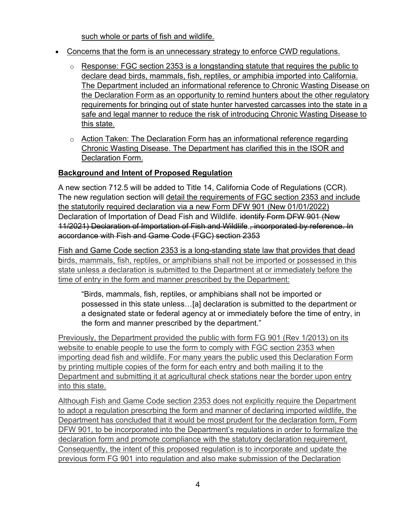such whole or parts of fish and wildlife.

- Concerns that the form is an unnecessary strategy to enforce CWD regulations.
	- $\circ$  Response: FGC section 2353 is a longstanding statute that requires the public to declare dead birds, mammals, fish, reptiles, or amphibia imported into California. The Department included an informational reference to Chronic Wasting Disease on the Declaration Form as an opportunity to remind hunters about the other regulatory requirements for bringing out of state hunter harvested carcasses into the state in a safe and legal manner to reduce the risk of introducing Chronic Wasting Disease to this state.
	- o Action Taken: The Declaration Form has an informational reference regarding Chronic Wasting Disease. The Department has clarified this in the ISOR and Declaration Form.

# **Background and Intent of Proposed Regulation**

A new section 712.5 will be added to Title 14, California Code of Regulations (CCR). The new regulation section will detail the requirements of FGC section 2353 and include the statutorily required declaration via a new Form DFW 901 (New 01/01/2022) Declaration of Importation of Dead Fish and Wildlife. identify Form DFW 901 (New 11/2021) Declaration of Importation of Fish and Wildlife., incorporated by reference. In accordance with Fish and Game Code (FGC) section 2353

Fish and Game Code section 2353 is a long-standing state law that provides that dead birds, mammals, fish, reptiles, or amphibians shall not be imported or possessed in this state unless a declaration is submitted to the Department at or immediately before the time of entry in the form and manner prescribed by the Department:

"Birds, mammals, fish, reptiles, or amphibians shall not be imported or possessed in this state unless…[a] declaration is submitted to the department or a designated state or federal agency at or immediately before the time of entry, in the form and manner prescribed by the department."

Previously, the Department provided the public with form FG 901 (Rev 1/2013) on its website to enable people to use the form to comply with FGC section 2353 when importing dead fish and wildlife. For many years the public used this Declaration Form by printing multiple copies of the form for each entry and both mailing it to the Department and submitting it at agricultural check stations near the border upon entry into this state.

Although Fish and Game Code section 2353 does not explicitly require the Department to adopt a regulation prescrbing the form and manner of declaring imported wildlife, the Department has concluded that it would be most prudent for the declaration form, Form DFW 901, to be incorporated into the Department's regulations in order to formalize the declaration form and promote compliance with the statutory declaration requirement. Consequently, the intent of this proposed regulation is to incorporate and update the previous form FG 901 into regulation and also make submission of the Declaration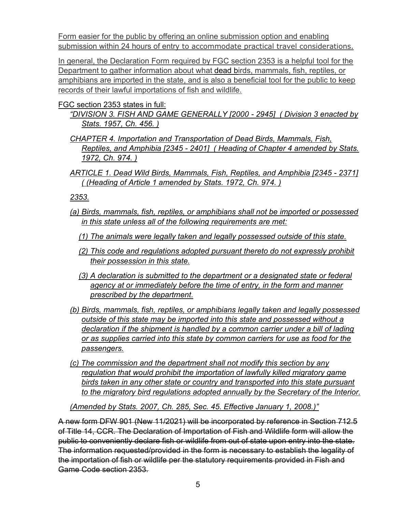Form easier for the public by offering an online submission option and enabling submission within 24 hours of entry to accommodate practical travel considerations.

In general, the Declaration Form required by FGC section 2353 is a helpful tool for the Department to gather information about what dead birds, mammals, fish, reptiles, or amphibians are imported in the state, and is also a beneficial tool for the public to keep records of their lawful importations of fish and wildlife.

#### FGC section 2353 states in full:

*"DIVISION 3. FISH AND GAME GENERALLY [2000 - 2945] ( Division 3 enacted by Stats. 1957, Ch. 456. )*

- *CHAPTER 4. Importation and Transportation of Dead Birds, Mammals, Fish, Reptiles, and Amphibia [2345 - 2401] ( Heading of Chapter 4 amended by Stats. 1972, Ch. 974. )*
- *ARTICLE 1. Dead Wild Birds, Mammals, Fish, Reptiles, and Amphibia [2345 - 2371] ( (Heading of Article 1 amended by Stats. 1972, Ch. 974. )*

*2353.*

- *(a) Birds, mammals, fish, reptiles, or amphibians shall not be imported or possessed in this state unless all of the following requirements are met:*
	- *(1) The animals were legally taken and legally possessed outside of this state.*
	- *(2) This code and regulations adopted pursuant thereto do not expressly prohibit their possession in this state.*
	- *(3) A declaration is submitted to the department or a designated state or federal agency at or immediately before the time of entry, in the form and manner prescribed by the department.*
- *(b) Birds, mammals, fish, reptiles, or amphibians legally taken and legally possessed outside of this state may be imported into this state and possessed without a declaration if the shipment is handled by a common carrier under a bill of lading or as supplies carried into this state by common carriers for use as food for the passengers.*
- *(c) The commission and the department shall not modify this section by any regulation that would prohibit the importation of lawfully killed migratory game birds taken in any other state or country and transported into this state pursuant to the migratory bird regulations adopted annually by the Secretary of the Interior.*

*(Amended by Stats. 2007, Ch. 285, Sec. 45. Effective January 1, 2008.)"*

A new form DFW 901 (New 11/2021) will be incorporated by reference in Section 712.5 of Title 14, CCR. The Declaration of Importation of Fish and Wildlife form will allow the public to conveniently declare fish or wildlife from out of state upon entry into the state. The information requested/provided in the form is necessary to establish the legality of the importation of fish or wildlife per the statutory requirements provided in Fish and Game Code section 2353.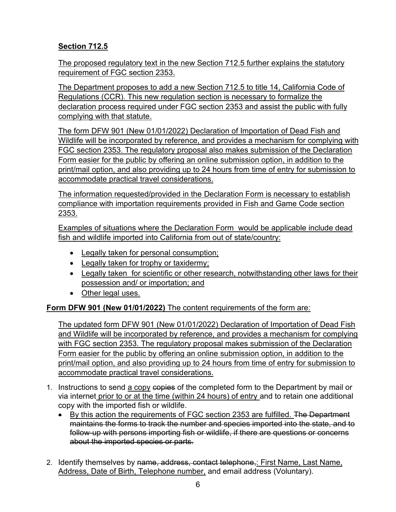# **Section 712.5**

The proposed regulatory text in the new Section 712.5 further explains the statutory requirement of FGC section 2353.

The Department proposes to add a new Section 712.5 to title 14, California Code of Regulations (CCR). This new regulation section is necessary to formalize the declaration process required under FGC section 2353 and assist the public with fully complying with that statute.

The form DFW 901 (New 01/01/2022) Declaration of Importation of Dead Fish and Wildlife will be incorporated by reference, and provides a mechanism for complying with FGC section 2353. The regulatory proposal also makes submission of the Declaration Form easier for the public by offering an online submission option, in addition to the print/mail option, and also providing up to 24 hours from time of entry for submission to accommodate practical travel considerations.

The information requested/provided in the Declaration Form is necessary to establish compliance with importation requirements provided in Fish and Game Code section 2353.

Examples of situations where the Declaration Form would be applicable include dead fish and wildlife imported into California from out of state/country:

- Legally taken for personal consumption;
- Legally taken for trophy or taxidermy;
- Legally taken for scientific or other research, notwithstanding other laws for their possession and/ or importation; and
- Other legal uses.

# **Form DFW 901 (New 01/01/2022)** The content requirements of the form are:

The updated form DFW 901 (New 01/01/2022) Declaration of Importation of Dead Fish and Wildlife will be incorporated by reference, and provides a mechanism for complying with FGC section 2353. The regulatory proposal makes submission of the Declaration Form easier for the public by offering an online submission option, in addition to the print/mail option, and also providing up to 24 hours from time of entry for submission to accommodate practical travel considerations.

- 1. Instructions to send a copy copies of the completed form to the Department by mail or via internet prior to or at the time (within 24 hours) of entry and to retain one additional copy with the imported fish or wildlife.
	- By this action the requirements of FGC section 2353 are fulfilled. The Department maintains the forms to track the number and species imported into the state, and to follow-up with persons importing fish or wildlife, if there are questions or concerns about the imported species or parts.
- 2. Identify themselves by name, address, contact telephone,: First Name, Last Name, Address, Date of Birth, Telephone number, and email address (Voluntary).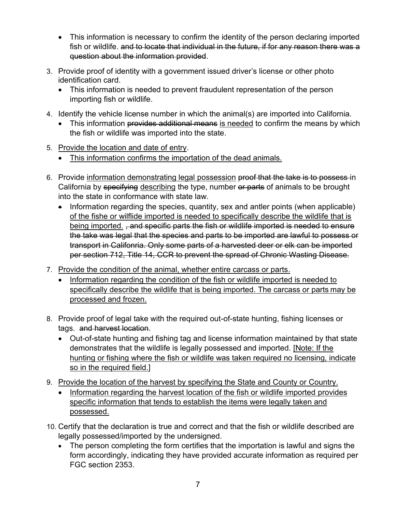- This information is necessary to confirm the identity of the person declaring imported fish or wildlife. and to locate that individual in the future, if for any reason there was a question about the information provided.
- 3. Provide proof of identity with a government issued driver's license or other photo identification card.
	- This information is needed to prevent fraudulent representation of the person importing fish or wildlife.
- 4. Identify the vehicle license number in which the animal(s) are imported into California.
	- This information provides additional means is needed to confirm the means by which the fish or wildlife was imported into the state.
- 5. Provide the location and date of entry.
	- This information confirms the importation of the dead animals.
- 6. Provide information demonstrating legal possession proof that the take is to possess in California by specifying describing the type, number or parts of animals to be brought into the state in conformance with state law.
	- Information regarding the species, quantity, sex and antler points (when applicable) of the fishe or wilflide imported is needed to specifically describe the wildlife that is being imported. <del>, and specific parts the fish or wildlife imported is needed to ensure</del> the take was legal that the species and parts to be imported are lawful to possess or transport in Califonria. Only some parts of a harvested deer or elk can be imported per section 712, Title 14, CCR to prevent the spread of Chronic Wasting Disease.
- 7. Provide the condition of the animal, whether entire carcass or parts.
	- Information regarding the condition of the fish or wildlife imported is needed to specifically describe the wildlife that is being imported. The carcass or parts may be processed and frozen.
- 8. Provide proof of legal take with the required out-of-state hunting, fishing licenses or tags. and harvest location.
	- Out-of-state hunting and fishing tag and license information maintained by that state demonstrates that the wildlife is legally possessed and imported. [Note: If the hunting or fishing where the fish or wildlife was taken required no licensing, indicate so in the required field.]
- 9. Provide the location of the harvest by specifying the State and County or Country.
	- Information regarding the harvest location of the fish or wildlife imported provides specific information that tends to establish the items were legally taken and possessed.
- 10. Certify that the declaration is true and correct and that the fish or wildlife described are legally possessed/imported by the undersigned.
	- The person completing the form certifies that the importation is lawful and signs the form accordingly, indicating they have provided accurate information as required per FGC section 2353.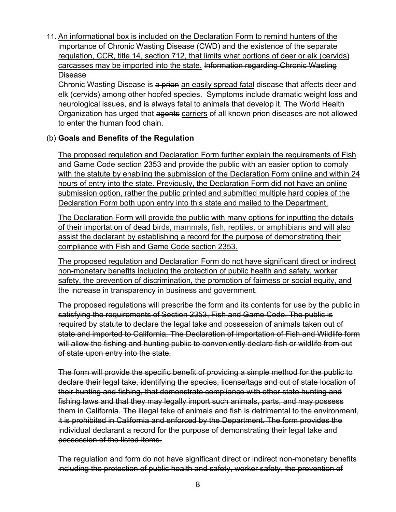11. An informational box is included on the Declaration Form to remind hunters of the importance of Chronic Wasting Disease (CWD) and the existence of the separate regulation, CCR, title 14, section 712, that limits what portions of deer or elk (cervids) carcasses may be imported into the state. Information regarding Chronic Wasting **Disease** 

Chronic Wasting Disease is a prion an easily spread fatal disease that affects deer and elk (cervids) among other hoofed species. Symptoms include dramatic weight loss and neurological issues, and is always fatal to animals that develop it. The World Health Organization has urged that agents carriers of all known prion diseases are not allowed to enter the human food chain.

# (b) **Goals and Benefits of the Regulation**

The proposed regulation and Declaration Form further explain the requirements of Fish and Game Code section 2353 and provide the public with an easier option to comply with the statute by enabling the submission of the Declaration Form online and within 24 hours of entry into the state. Previously, the Declaration Form did not have an online submission option, rather the public printed and submitted multiple hard copies of the Declaration Form both upon entry into this state and mailed to the Department.

The Declaration Form will provide the public with many options for inputting the details of their importation of dead birds, mammals, fish, reptiles, or amphibians and will also assist the declarant by establishing a record for the purpose of demonstrating their compliance with Fish and Game Code section 2353.

The proposed regulation and Declaration Form do not have significant direct or indirect non-monetary benefits including the protection of public health and safety, worker safety, the prevention of discrimination, the promotion of fairness or social equity, and the increase in transparency in business and government.

The proposed regulations will prescribe the form and its contents for use by the public in satisfying the requirements of Section 2353, Fish and Game Code. The public is required by statute to declare the legal take and possession of animals taken out of state and imported to California. The Declaration of Importation of Fish and Wildlife form will allow the fishing and hunting public to conveniently declare fish or wildlife from out of state upon entry into the state.

The form will provide the specific benefit of providing a simple method for the public to declare their legal take, identifying the species, license/tags and out of state location of their hunting and fishing, that demonstrate compliance with other state hunting and fishing laws and that they may legally import such animals, parts, and may possess them in California. The illegal take of animals and fish is detrimental to the environment, it is prohibited in California and enforced by the Department. The form provides the individual declarant a record for the purpose of demonstrating their legal take and possession of the listed items.

The regulation and form do not have significant direct or indirect non-monetary benefits including the protection of public health and safety, worker safety, the prevention of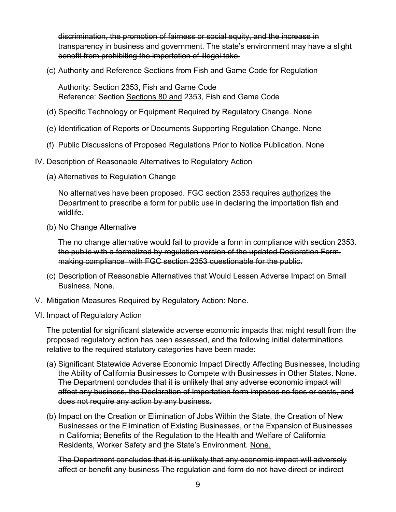discrimination, the promotion of fairness or social equity, and the increase in transparency in business and government. The state's environment may have a slight benefit from prohibiting the importation of illegal take.

(c) Authority and Reference Sections from Fish and Game Code for Regulation

Authority: Section 2353, Fish and Game Code Reference: Section Sections 80 and 2353, Fish and Game Code

- (d) Specific Technology or Equipment Required by Regulatory Change. None
- (e) Identification of Reports or Documents Supporting Regulation Change. None
- (f) Public Discussions of Proposed Regulations Prior to Notice Publication. None
- IV. Description of Reasonable Alternatives to Regulatory Action
	- (a) Alternatives to Regulation Change

No alternatives have been proposed. FGC section 2353 requires authorizes the Department to prescribe a form for public use in declaring the importation fish and wildlife.

(b) No Change Alternative

The no change alternative would fail to provide a form in compliance with section 2353. the public with a formalized by regulation version of the updated Declaration Form, making compliance with FGC section 2353 questionable for the public.

- (c) Description of Reasonable Alternatives that Would Lessen Adverse Impact on Small Business. None.
- V. Mitigation Measures Required by Regulatory Action: None.
- VI. Impact of Regulatory Action

The potential for significant statewide adverse economic impacts that might result from the proposed regulatory action has been assessed, and the following initial determinations relative to the required statutory categories have been made:

- (a) Significant Statewide Adverse Economic Impact Directly Affecting Businesses, Including the Ability of California Businesses to Compete with Businesses in Other States. None. The Department concludes that it is unlikely that any adverse economic impact will affect any business, the Declaration of Importation form imposes no fees or costs, and does not require any action by any business.
- (b) Impact on the Creation or Elimination of Jobs Within the State, the Creation of New Businesses or the Elimination of Existing Businesses, or the Expansion of Businesses in California; Benefits of the Regulation to the Health and Welfare of California Residents, Worker Safety and the State's Environment. None.

The Department concludes that it is unlikely that any economic impact will adversely affect or benefit any business The regulation and form do not have direct or indirect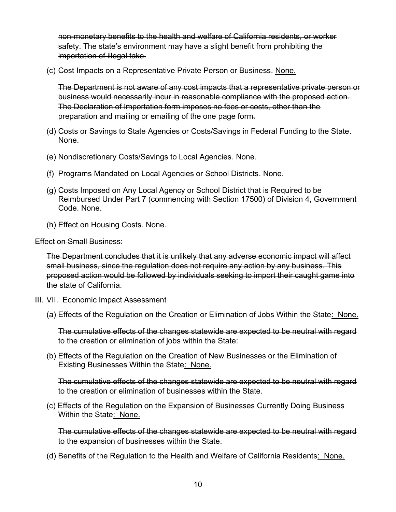non-monetary benefits to the health and welfare of California residents, or worker safety. The state's environment may have a slight benefit from prohibiting the importation of illegal take.

(c) Cost Impacts on a Representative Private Person or Business. None.

The Department is not aware of any cost impacts that a representative private person or business would necessarily incur in reasonable compliance with the proposed action. The Declaration of Importation form imposes no fees or costs, other than the preparation and mailing or emailing of the one page form.

- (d) Costs or Savings to State Agencies or Costs/Savings in Federal Funding to the State. None.
- (e) Nondiscretionary Costs/Savings to Local Agencies. None.
- (f) Programs Mandated on Local Agencies or School Districts. None.
- (g) Costs Imposed on Any Local Agency or School District that is Required to be Reimbursed Under Part 7 (commencing with Section 17500) of Division 4, Government Code. None.
- (h) Effect on Housing Costs. None.

Effect on Small Business:

The Department concludes that it is unlikely that any adverse economic impact will affect small business, since the regulation does not require any action by any business. This proposed action would be followed by individuals seeking to import their caught game into the state of California.

- III. VII. Economic Impact Assessment
	- (a) Effects of the Regulation on the Creation or Elimination of Jobs Within the State: None.

The cumulative effects of the changes statewide are expected to be neutral with regard to the creation or elimination of jobs within the State:

(b) Effects of the Regulation on the Creation of New Businesses or the Elimination of Existing Businesses Within the State: None.

The cumulative effects of the changes statewide are expected to be neutral with regard to the creation or elimination of businesses within the State.

(c) Effects of the Regulation on the Expansion of Businesses Currently Doing Business Within the State: None.

The cumulative effects of the changes statewide are expected to be neutral with regard to the expansion of businesses within the State.

(d) Benefits of the Regulation to the Health and Welfare of California Residents: None.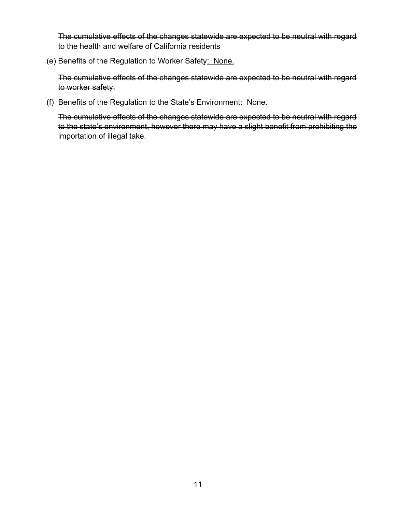The cumulative effects of the changes statewide are expected to be neutral with regard to the health and welfare of California residents

(e) Benefits of the Regulation to Worker Safety: None.

The cumulative effects of the changes statewide are expected to be neutral with regard to worker safety.

(f) Benefits of the Regulation to the State's Environment: None.

The cumulative effects of the changes statewide are expected to be neutral with regard to the state's environment, however there may have a slight benefit from prohibiting the importation of illegal take.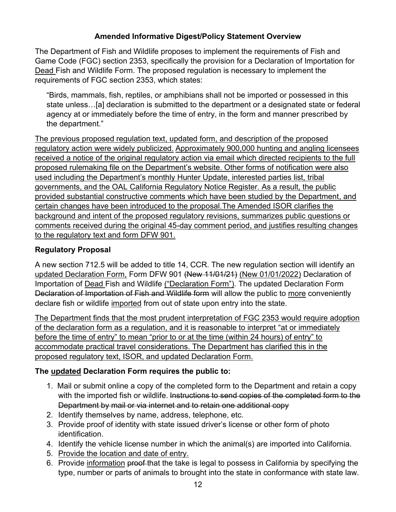## **Amended Informative Digest/Policy Statement Overview**

The Department of Fish and Wildlife proposes to implement the requirements of Fish and Game Code (FGC) section 2353, specifically the provision for a Declaration of Importation for Dead Fish and Wildlife Form. The proposed regulation is necessary to implement the requirements of FGC section 2353, which states:

"Birds, mammals, fish, reptiles, or amphibians shall not be imported or possessed in this state unless…[a] declaration is submitted to the department or a designated state or federal agency at or immediately before the time of entry, in the form and manner prescribed by the department."

The previous proposed regulation text, updated form, and description of the proposed regulatory action were widely publicized. Approximately 900,000 hunting and angling licensees received a notice of the original regulatory action via email which directed recipients to the full proposed rulemaking file on the Department's website. Other forms of notification were also used including the Department's monthly Hunter Update, interested parties list, tribal governments, and the OAL California Regulatory Notice Register. As a result, the public provided substantial constructive comments which have been studied by the Department, and certain changes have been introduced to the proposal.The Amended ISOR clarifies the background and intent of the proposed regulatory revisions, summarizes public questions or comments received during the original 45-day comment period, and justifies resulting changes to the regulatory text and form DFW 901.

# **Regulatory Proposal**

A new section 712.5 will be added to title 14, CCR. The new regulation section will identify an updated Declaration Form, Form DFW 901 (New 11/01/21) (New 01/01/2022) Declaration of Importation of Dead Fish and Wildlife ("Declaration Form"). The updated Declaration Form Declaration of Importation of Fish and Wildlife form will allow the public to more conveniently declare fish or wildlife imported from out of state upon entry into the state.

The Department finds that the most prudent interpretation of FGC 2353 would require adoption of the declaration form as a regulation, and it is reasonable to interpret "at or immediately before the time of entry" to mean "prior to or at the time (within 24 hours) of entry" to accommodate practical travel considerations. The Department has clarified this in the proposed regulatory text, ISOR, and updated Declaration Form.

## **The updated Declaration Form requires the public to:**

- 1. Mail or submit online a copy of the completed form to the Department and retain a copy with the imported fish or wildlife. Instructions to send copies of the completed form to the Department by mail or via internet and to retain one additional copy
- 2. Identify themselves by name, address, telephone, etc.
- 3. Provide proof of identity with state issued driver's license or other form of photo identification.
- 4. Identify the vehicle license number in which the animal(s) are imported into California.
- 5. Provide the location and date of entry.
- 6. Provide information proof that the take is legal to possess in California by specifying the type, number or parts of animals to brought into the state in conformance with state law.